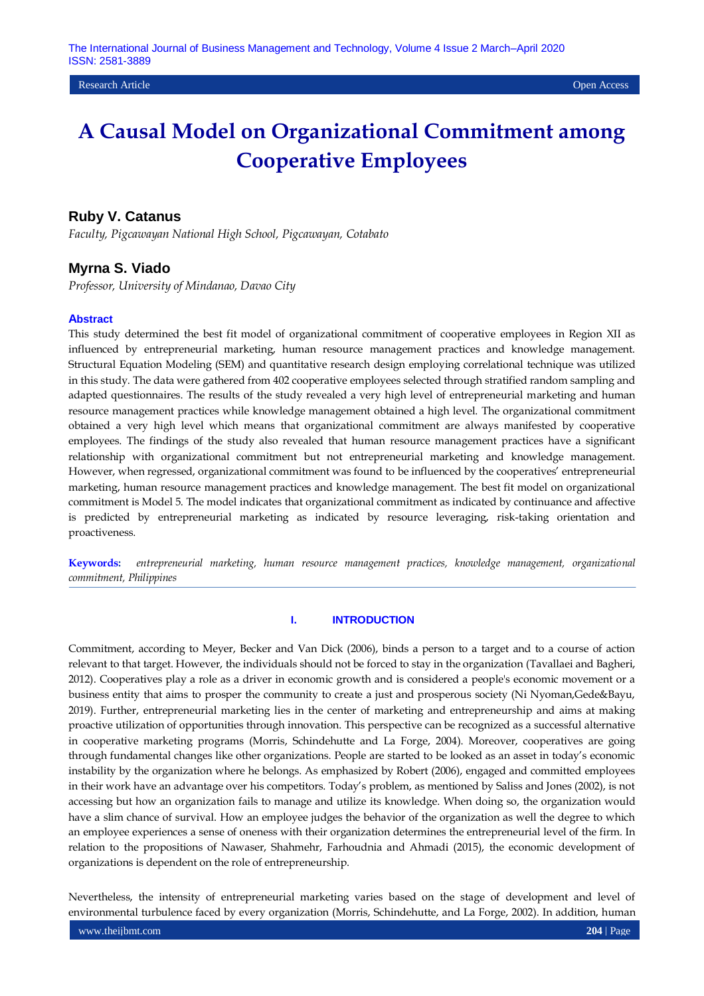### **Ruby V. Catanus**

*Faculty, Pigcawayan National High School, Pigcawayan, Cotabato*

### **Myrna S. Viado**

*Professor, University of Mindanao, Davao City*

#### **Abstract**

This study determined the best fit model of organizational commitment of cooperative employees in Region XII as influenced by entrepreneurial marketing, human resource management practices and knowledge management. Structural Equation Modeling (SEM) and quantitative research design employing correlational technique was utilized in this study. The data were gathered from 402 cooperative employees selected through stratified random sampling and adapted questionnaires. The results of the study revealed a very high level of entrepreneurial marketing and human resource management practices while knowledge management obtained a high level. The organizational commitment obtained a very high level which means that organizational commitment are always manifested by cooperative employees. The findings of the study also revealed that human resource management practices have a significant relationship with organizational commitment but not entrepreneurial marketing and knowledge management. However, when regressed, organizational commitment was found to be influenced by the cooperatives' entrepreneurial marketing, human resource management practices and knowledge management. The best fit model on organizational commitment is Model 5. The model indicates that organizational commitment as indicated by continuance and affective is predicted by entrepreneurial marketing as indicated by resource leveraging, risk-taking orientation and proactiveness.

**Keywords:** *entrepreneurial marketing, human resource management practices, knowledge management, organizational commitment, Philippines*

#### **I. INTRODUCTION**

Commitment, according to Meyer, Becker and Van Dick (2006), binds a person to a target and to a course of action relevant to that target. However, the individuals should not be forced to stay in the organization (Tavallaei and Bagheri, 2012). Cooperatives play a role as a driver in economic growth and is considered a people's economic movement or a business entity that aims to prosper the community to create a just and prosperous society (Ni Nyoman,Gede&Bayu, 2019). Further, entrepreneurial marketing lies in the center of marketing and entrepreneurship and aims at making proactive utilization of opportunities through innovation. This perspective can be recognized as a successful alternative in cooperative marketing programs (Morris, Schindehutte and La Forge, 2004). Moreover, cooperatives are going through fundamental changes like other organizations. People are started to be looked as an asset in today's economic instability by the organization where he belongs. As emphasized by Robert (2006), engaged and committed employees in their work have an advantage over his competitors. Today's problem, as mentioned by Saliss and Jones (2002), is not accessing but how an organization fails to manage and utilize its knowledge. When doing so, the organization would have a slim chance of survival. How an employee judges the behavior of the organization as well the degree to which an employee experiences a sense of oneness with their organization determines the entrepreneurial level of the firm. In relation to the propositions of Nawaser, Shahmehr, Farhoudnia and Ahmadi (2015), the economic development of organizations is dependent on the role of entrepreneurship.

Nevertheless, the intensity of entrepreneurial marketing varies based on the stage of development and level of environmental turbulence faced by every organization (Morris, Schindehutte, and La Forge, 2002). In addition, human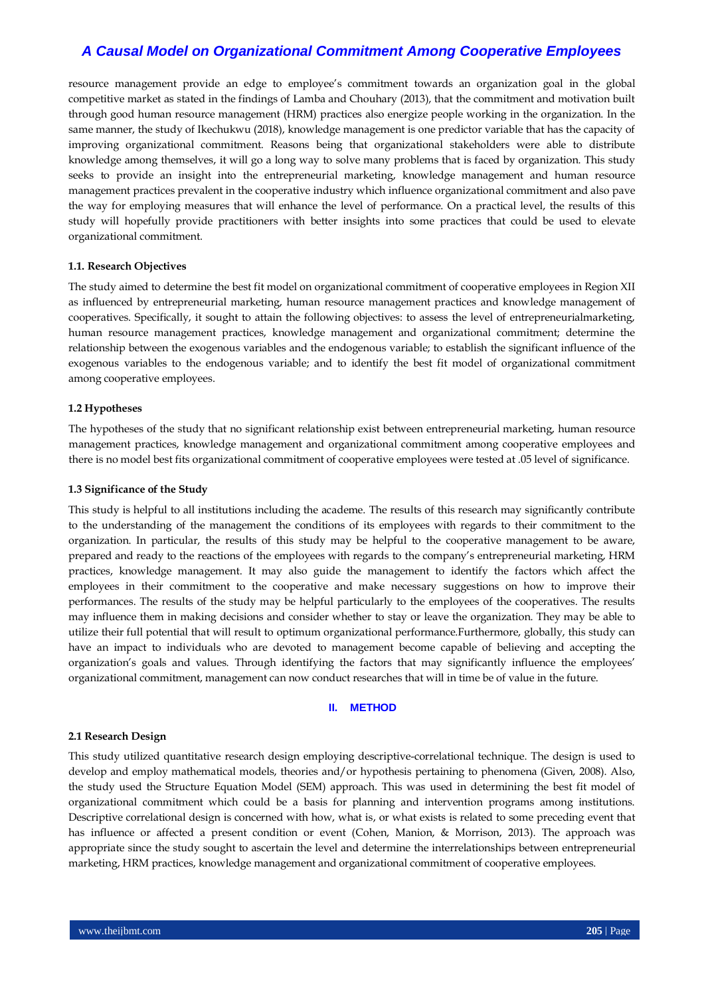resource management provide an edge to employee's commitment towards an organization goal in the global competitive market as stated in the findings of Lamba and Chouhary (2013), that the commitment and motivation built through good human resource management (HRM) practices also energize people working in the organization. In the same manner, the study of Ikechukwu (2018), knowledge management is one predictor variable that has the capacity of improving organizational commitment. Reasons being that organizational stakeholders were able to distribute knowledge among themselves, it will go a long way to solve many problems that is faced by organization. This study seeks to provide an insight into the entrepreneurial marketing, knowledge management and human resource management practices prevalent in the cooperative industry which influence organizational commitment and also pave the way for employing measures that will enhance the level of performance. On a practical level, the results of this study will hopefully provide practitioners with better insights into some practices that could be used to elevate organizational commitment.

#### **1.1. Research Objectives**

The study aimed to determine the best fit model on organizational commitment of cooperative employees in Region XII as influenced by entrepreneurial marketing, human resource management practices and knowledge management of cooperatives. Specifically, it sought to attain the following objectives: to assess the level of entrepreneurialmarketing, human resource management practices, knowledge management and organizational commitment; determine the relationship between the exogenous variables and the endogenous variable; to establish the significant influence of the exogenous variables to the endogenous variable; and to identify the best fit model of organizational commitment among cooperative employees.

#### **1.2 Hypotheses**

The hypotheses of the study that no significant relationship exist between entrepreneurial marketing, human resource management practices, knowledge management and organizational commitment among cooperative employees and there is no model best fits organizational commitment of cooperative employees were tested at .05 level of significance.

#### **1.3 Significance of the Study**

This study is helpful to all institutions including the academe. The results of this research may significantly contribute to the understanding of the management the conditions of its employees with regards to their commitment to the organization. In particular, the results of this study may be helpful to the cooperative management to be aware, prepared and ready to the reactions of the employees with regards to the company's entrepreneurial marketing, HRM practices, knowledge management. It may also guide the management to identify the factors which affect the employees in their commitment to the cooperative and make necessary suggestions on how to improve their performances. The results of the study may be helpful particularly to the employees of the cooperatives. The results may influence them in making decisions and consider whether to stay or leave the organization. They may be able to utilize their full potential that will result to optimum organizational performance.Furthermore, globally, this study can have an impact to individuals who are devoted to management become capable of believing and accepting the organization's goals and values. Through identifying the factors that may significantly influence the employees' organizational commitment, management can now conduct researches that will in time be of value in the future.

### **II. METHOD**

#### **2.1 Research Design**

This study utilized quantitative research design employing descriptive-correlational technique. The design is used to develop and employ mathematical models, theories and/or hypothesis pertaining to phenomena (Given, 2008). Also, the study used the Structure Equation Model (SEM) approach. This was used in determining the best fit model of organizational commitment which could be a basis for planning and intervention programs among institutions. Descriptive correlational design is concerned with how, what is, or what exists is related to some preceding event that has influence or affected a present condition or event (Cohen, Manion, & Morrison, 2013). The approach was appropriate since the study sought to ascertain the level and determine the interrelationships between entrepreneurial marketing, HRM practices, knowledge management and organizational commitment of cooperative employees.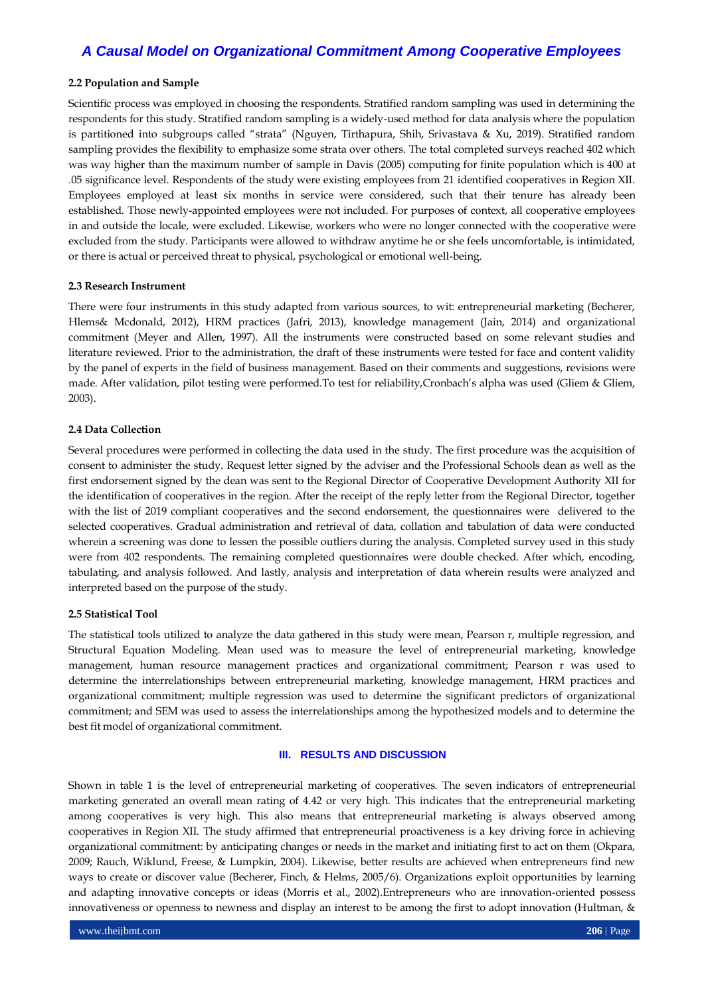#### **2.2 Population and Sample**

Scientific process was employed in choosing the respondents. Stratified random sampling was used in determining the respondents for this study. Stratified random sampling is a widely-used method for data analysis where the population is partitioned into subgroups called "strata" (Nguyen, Tirthapura, Shih, Srivastava & Xu, 2019). Stratified random sampling provides the flexibility to emphasize some strata over others. The total completed surveys reached 402 which was way higher than the maximum number of sample in Davis (2005) computing for finite population which is 400 at .05 significance level. Respondents of the study were existing employees from 21 identified cooperatives in Region XII. Employees employed at least six months in service were considered, such that their tenure has already been established. Those newly-appointed employees were not included. For purposes of context, all cooperative employees in and outside the locale, were excluded. Likewise, workers who were no longer connected with the cooperative were excluded from the study. Participants were allowed to withdraw anytime he or she feels uncomfortable, is intimidated, or there is actual or perceived threat to physical, psychological or emotional well-being.

#### **2.3 Research Instrument**

There were four instruments in this study adapted from various sources, to wit: entrepreneurial marketing (Becherer, Hlems& Mcdonald, 2012), HRM practices (Jafri, 2013), knowledge management (Jain, 2014) and organizational commitment (Meyer and Allen, 1997). All the instruments were constructed based on some relevant studies and literature reviewed. Prior to the administration, the draft of these instruments were tested for face and content validity by the panel of experts in the field of business management. Based on their comments and suggestions, revisions were made. After validation, pilot testing were performed.To test for reliability,Cronbach's alpha was used (Gliem & Gliem, 2003).

#### **2.4 Data Collection**

Several procedures were performed in collecting the data used in the study. The first procedure was the acquisition of consent to administer the study. Request letter signed by the adviser and the Professional Schools dean as well as the first endorsement signed by the dean was sent to the Regional Director of Cooperative Development Authority XII for the identification of cooperatives in the region. After the receipt of the reply letter from the Regional Director, together with the list of 2019 compliant cooperatives and the second endorsement, the questionnaires were delivered to the selected cooperatives. Gradual administration and retrieval of data, collation and tabulation of data were conducted wherein a screening was done to lessen the possible outliers during the analysis. Completed survey used in this study were from 402 respondents. The remaining completed questionnaires were double checked. After which, encoding, tabulating, and analysis followed. And lastly, analysis and interpretation of data wherein results were analyzed and interpreted based on the purpose of the study.

#### **2.5 Statistical Tool**

The statistical tools utilized to analyze the data gathered in this study were mean, Pearson r, multiple regression, and Structural Equation Modeling. Mean used was to measure the level of entrepreneurial marketing, knowledge management, human resource management practices and organizational commitment; Pearson r was used to determine the interrelationships between entrepreneurial marketing, knowledge management, HRM practices and organizational commitment; multiple regression was used to determine the significant predictors of organizational commitment; and SEM was used to assess the interrelationships among the hypothesized models and to determine the best fit model of organizational commitment.

#### **III. RESULTS AND DISCUSSION**

Shown in table 1 is the level of entrepreneurial marketing of cooperatives. The seven indicators of entrepreneurial marketing generated an overall mean rating of 4.42 or very high. This indicates that the entrepreneurial marketing among cooperatives is very high. This also means that entrepreneurial marketing is always observed among cooperatives in Region XII. The study affirmed that entrepreneurial proactiveness is a key driving force in achieving organizational commitment: by anticipating changes or needs in the market and initiating first to act on them (Okpara, 2009; Rauch, Wiklund, Freese, & Lumpkin, 2004). Likewise, better results are achieved when entrepreneurs find new ways to create or discover value (Becherer, Finch, & Helms, 2005/6). Organizations exploit opportunities by learning and adapting innovative concepts or ideas (Morris et al., 2002).Entrepreneurs who are innovation-oriented possess innovativeness or openness to newness and display an interest to be among the first to adopt innovation (Hultman, &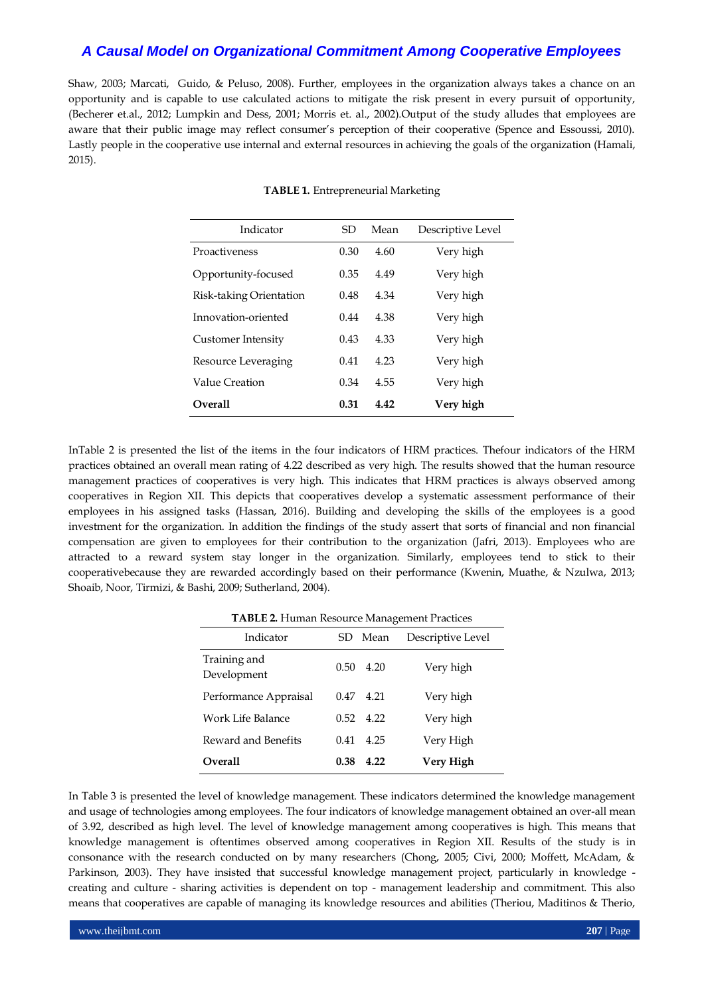Shaw, 2003; Marcati, Guido, & Peluso, 2008). Further, employees in the organization always takes a chance on an opportunity and is capable to use calculated actions to mitigate the risk present in every pursuit of opportunity, (Becherer et.al., 2012; Lumpkin and Dess, 2001; Morris et. al., 2002).Output of the study alludes that employees are aware that their public image may reflect consumer's perception of their cooperative (Spence and Essoussi, 2010). Lastly people in the cooperative use internal and external resources in achieving the goals of the organization (Hamali, 2015).

| Indicator               | SD   | Mean | Descriptive Level |
|-------------------------|------|------|-------------------|
| Proactiveness           | 0.30 | 4.60 | Very high         |
| Opportunity-focused     | 0.35 | 4.49 | Very high         |
| Risk-taking Orientation | 0.48 | 4.34 | Very high         |
| Innovation-oriented     | 0.44 | 4.38 | Very high         |
| Customer Intensity      | 0.43 | 4.33 | Very high         |
| Resource Leveraging     | 0.41 | 4.23 | Very high         |
| Value Creation          | 0.34 | 4.55 | Very high         |
| <b>Overall</b>          | 0.31 | 4.42 | Very high         |

#### **TABLE 1.** Entrepreneurial Marketing

InTable 2 is presented the list of the items in the four indicators of HRM practices. Thefour indicators of the HRM practices obtained an overall mean rating of 4.22 described as very high. The results showed that the human resource management practices of cooperatives is very high. This indicates that HRM practices is always observed among cooperatives in Region XII. This depicts that cooperatives develop a systematic assessment performance of their employees in his assigned tasks (Hassan, 2016). Building and developing the skills of the employees is a good investment for the organization. In addition the findings of the study assert that sorts of financial and non financial compensation are given to employees for their contribution to the organization (Jafri, 2013). Employees who are attracted to a reward system stay longer in the organization. Similarly, employees tend to stick to their cooperativebecause they are rewarded accordingly based on their performance (Kwenin, Muathe, & Nzulwa, 2013; Shoaib, Noor, Tirmizi, & Bashi, 2009; Sutherland, 2004).

| <b>TADLE 2.</b> Fullian Resource Management Fractices |      |                   |                   |  |  |  |  |
|-------------------------------------------------------|------|-------------------|-------------------|--|--|--|--|
| Indicator                                             |      | SD Mean           | Descriptive Level |  |  |  |  |
| Training and<br>Development                           | 0.50 | 4.20              | Very high         |  |  |  |  |
| Performance Appraisal                                 | 0.47 | 4.21              | Very high         |  |  |  |  |
| Work Life Balance                                     |      | $0.52 \quad 4.22$ | Very high         |  |  |  |  |
| Reward and Benefits                                   | 0.41 | 4.25              | Very High         |  |  |  |  |
| <b>Overall</b>                                        | 0.38 | 4.22              | Very High         |  |  |  |  |

**TABLE 2.** Human Resource Management Practices

In Table 3 is presented the level of knowledge management. These indicators determined the knowledge management and usage of technologies among employees. The four indicators of knowledge management obtained an over-all mean of 3.92, described as high level. The level of knowledge management among cooperatives is high. This means that knowledge management is oftentimes observed among cooperatives in Region XII. Results of the study is in consonance with the research conducted on by many researchers (Chong, 2005; Civi, 2000; Moffett, McAdam, & Parkinson, 2003). They have insisted that successful knowledge management project, particularly in knowledge creating and culture - sharing activities is dependent on top - management leadership and commitment. This also means that cooperatives are capable of managing its knowledge resources and abilities (Theriou, Maditinos & Therio,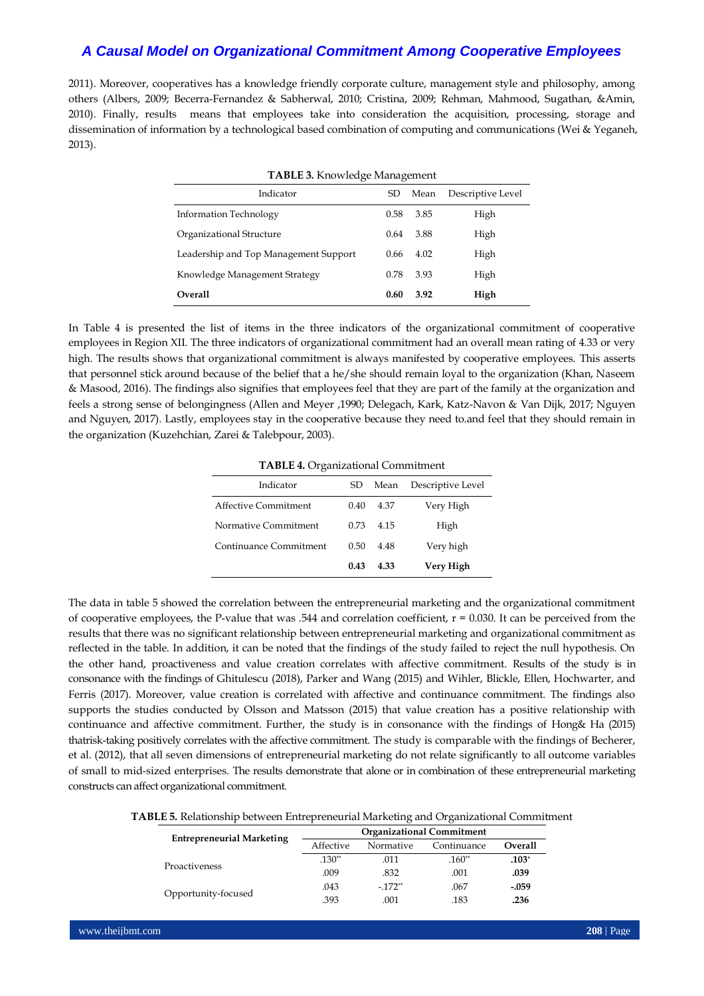2011). Moreover, cooperatives has a knowledge friendly corporate culture, management style and philosophy, among others (Albers, 2009; Becerra-Fernandez & Sabherwal, 2010; Cristina, 2009; Rehman, Mahmood, Sugathan, &Amin, 2010). Finally, results means that employees take into consideration the acquisition, processing, storage and dissemination of information by a technological based combination of computing and communications (Wei & Yeganeh, 2013).

| <b>TABLE 3. Knowledge Management</b>  |      |      |                   |  |  |  |  |
|---------------------------------------|------|------|-------------------|--|--|--|--|
| Indicator                             | SD   | Mean | Descriptive Level |  |  |  |  |
| <b>Information Technology</b>         | 0.58 | 3.85 | High              |  |  |  |  |
| Organizational Structure              | 0.64 | 3.88 | High              |  |  |  |  |
| Leadership and Top Management Support | 0.66 | 4.02 | High              |  |  |  |  |
| Knowledge Management Strategy         | 0.78 | 3.93 | High              |  |  |  |  |
| <b>Overall</b>                        | 0.60 | 3.92 | High              |  |  |  |  |

In Table 4 is presented the list of items in the three indicators of the organizational commitment of cooperative employees in Region XII. The three indicators of organizational commitment had an overall mean rating of 4.33 or very high. The results shows that organizational commitment is always manifested by cooperative employees. This asserts that personnel stick around because of the belief that a he/she should remain loyal to the organization (Khan, Naseem & Masood, 2016). The findings also signifies that employees feel that they are part of the family at the organization and feels a strong sense of belongingness (Allen and Meyer ,1990; Delegach, Kark, Katz-Navon & Van Dijk, 2017; Nguyen and Nguyen, 2017). Lastly, employees stay in the cooperative because they need to.and feel that they should remain in the organization (Kuzehchian, Zarei & Talebpour, 2003).

**TABLE 4.** Organizational Commitment

| Indicator              | SD   | Mean | Descriptive Level |
|------------------------|------|------|-------------------|
| Affective Commitment   | 0.40 | 4.37 | Very High         |
| Normative Commitment   | 0.73 | 4.15 | High              |
| Continuance Commitment | 0.50 | 4.48 | Very high         |
|                        | 0.43 | 4.33 | Very High         |

The data in table 5 showed the correlation between the entrepreneurial marketing and the organizational commitment of cooperative employees, the P-value that was .544 and correlation coefficient,  $r = 0.030$ . It can be perceived from the results that there was no significant relationship between entrepreneurial marketing and organizational commitment as reflected in the table. In addition, it can be noted that the findings of the study failed to reject the null hypothesis. On the other hand, proactiveness and value creation correlates with affective commitment. Results of the study is in consonance with the findings o[f Ghitulescu](https://www.emerald.com/insight/search?q=Brenda%20E.%20Ghitulescu) (2018), Parker and Wang (2015) and Wihler, Blickle, Ellen, Hochwarter, and Ferris (2017). Moreover, value creation is correlated with affective and continuance commitment. The findings also supports the studies conducted by Olsson and Matsson (2015) that value creation has a positive relationship with continuance and affective commitment. Further, the study is in consonance with the findings of [Hong&](http://doi.or.kr/10.PSN/ADPER6800569789) Ha (2015) thatrisk-taking positively correlates with the affective commitment. The study is comparable with the findings of Becherer, et al. (2012), that all seven dimensions of entrepreneurial marketing do not relate significantly to all outcome variables of small to mid-sized enterprises. The results demonstrate that alone or in combination of these entrepreneurial marketing constructs can affect organizational commitment.

**TABLE 5.** Relationship between Entrepreneurial Marketing and Organizational Commitment

| <b>Entrepreneurial Marketing</b> | <b>Organizational Commitment</b> |           |             |         |  |  |  |
|----------------------------------|----------------------------------|-----------|-------------|---------|--|--|--|
|                                  | Affective                        | Normative | Continuance | Overall |  |  |  |
| Proactiveness                    | $.130**$                         | .011      | $.160**$    | $.103*$ |  |  |  |
|                                  | .009                             | .832      | .001        | .039    |  |  |  |
|                                  | .043                             | $-172**$  | .067        | $-.059$ |  |  |  |
| Opportunity-focused              | .393                             | .001      | .183        | .236    |  |  |  |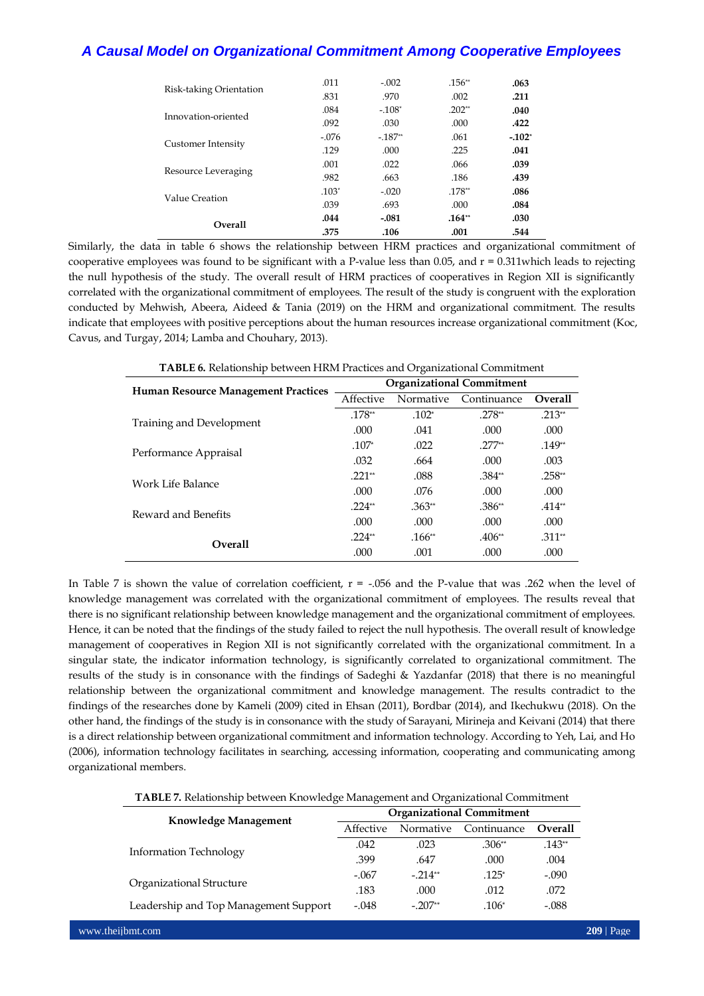|                         | .011    | $-.002$  | $.156**$ | .063    |
|-------------------------|---------|----------|----------|---------|
| Risk-taking Orientation | .831    | .970     | .002     | .211    |
| Innovation-oriented     | .084    | $-.108*$ | $.202**$ | .040    |
|                         | .092    | .030     | .000     | .422    |
|                         | $-.076$ | $-187**$ | .061     | $-102*$ |
| Customer Intensity      | .129    | .000     | .225     | .041    |
|                         | .001    | .022     | .066     | .039    |
| Resource Leveraging     | .982    | .663     | .186     | .439    |
| Value Creation          | $.103*$ | $-.020$  | $.178**$ | .086    |
|                         | .039    | .693     | .000     | .084    |
| <b>Overall</b>          | .044    | $-.081$  | $.164**$ | .030    |
|                         | .375    | .106     | .001     | .544    |

Similarly, the data in table 6 shows the relationship between HRM practices and organizational commitment of cooperative employees was found to be significant with a P-value less than 0.05, and  $r = 0.311$ which leads to rejecting the null hypothesis of the study. The overall result of HRM practices of cooperatives in Region XII is significantly correlated with the organizational commitment of employees. The result of the study is congruent with the exploration conducted by Mehwish, Abeera, Aideed & Tania (2019) on the HRM and organizational commitment. The results indicate that employees with positive perceptions about the human resources increase organizational commitment (Koc, Cavus, and Turgay, 2014; Lamba and Chouhary, 2013).

| <b>TABLE 6.</b> Relationship between HRM Practices and Organizational Commitment |                                  |           |             |                |  |  |  |
|----------------------------------------------------------------------------------|----------------------------------|-----------|-------------|----------------|--|--|--|
| <b>Human Resource Management Practices</b>                                       | <b>Organizational Commitment</b> |           |             |                |  |  |  |
|                                                                                  | Affective                        | Normative | Continuance | <b>Overall</b> |  |  |  |
| Training and Development                                                         | $.178**$                         | $.102*$   | $.278**$    | $.213**$       |  |  |  |
|                                                                                  | .000                             | .041      | .000        | .000           |  |  |  |
| Performance Appraisal                                                            | $.107*$                          | .022      | $.277**$    | $.149**$       |  |  |  |
|                                                                                  | .032                             | .664      | .000        | .003           |  |  |  |
| Work Life Balance                                                                | $.221**$                         | .088      | $.384**$    | $.258**$       |  |  |  |
|                                                                                  | .000                             | .076      | .000        | .000           |  |  |  |
| Reward and Benefits                                                              | $.224**$                         | $.363**$  | .386**      | $.414**$       |  |  |  |
|                                                                                  | .000                             | .000      | .000        | .000           |  |  |  |
| <b>Overall</b>                                                                   | $.224**$                         | $.166**$  | $.406**$    | $.311**$       |  |  |  |
|                                                                                  | .000                             | .001      | .000        | .000           |  |  |  |

In Table 7 is shown the value of correlation coefficient,  $r = -0.056$  and the P-value that was .262 when the level of knowledge management was correlated with the organizational commitment of employees. The results reveal that there is no significant relationship between knowledge management and the organizational commitment of employees. Hence, it can be noted that the findings of the study failed to reject the null hypothesis. The overall result of knowledge management of cooperatives in Region XII is not significantly correlated with the organizational commitment. In a singular state, the indicator information technology, is significantly correlated to organizational commitment. The results of the study is in consonance with the findings of Sadeghi & Yazdanfar (2018) that there is no meaningful relationship between the organizational commitment and knowledge management. The results contradict to the findings of the researches done by Kameli (2009) cited in Ehsan (2011), Bordbar (2014), and Ikechukwu (2018). On the other hand, the findings of the study is in consonance with the study of Sarayani, Mirineja and Keivani (2014) that there is a direct relationship between organizational commitment and information technology. According to Yeh, Lai, and Ho (2006), information technology facilitates in searching, accessing information, cooperating and communicating among organizational members.

**TABLE 7.** Relationship between Knowledge Management and Organizational Commitment

| Knowledge Management                  | <b>Organizational Commitment</b> |           |                                                               |                |  |  |
|---------------------------------------|----------------------------------|-----------|---------------------------------------------------------------|----------------|--|--|
|                                       | Affective                        | Normative | Continuance<br>$.306**$<br>.000<br>$.125*$<br>.012<br>$.106*$ | <b>Overall</b> |  |  |
|                                       | .042                             | .023      |                                                               | $.143**$       |  |  |
| <b>Information Technology</b>         | .399                             | .647      |                                                               | .004           |  |  |
|                                       | $-.067$                          | $-214**$  |                                                               | $-.090$        |  |  |
| Organizational Structure              | .183                             | .000      |                                                               | .072           |  |  |
| Leadership and Top Management Support | $-.048$                          | $-207**$  |                                                               | $-.088$        |  |  |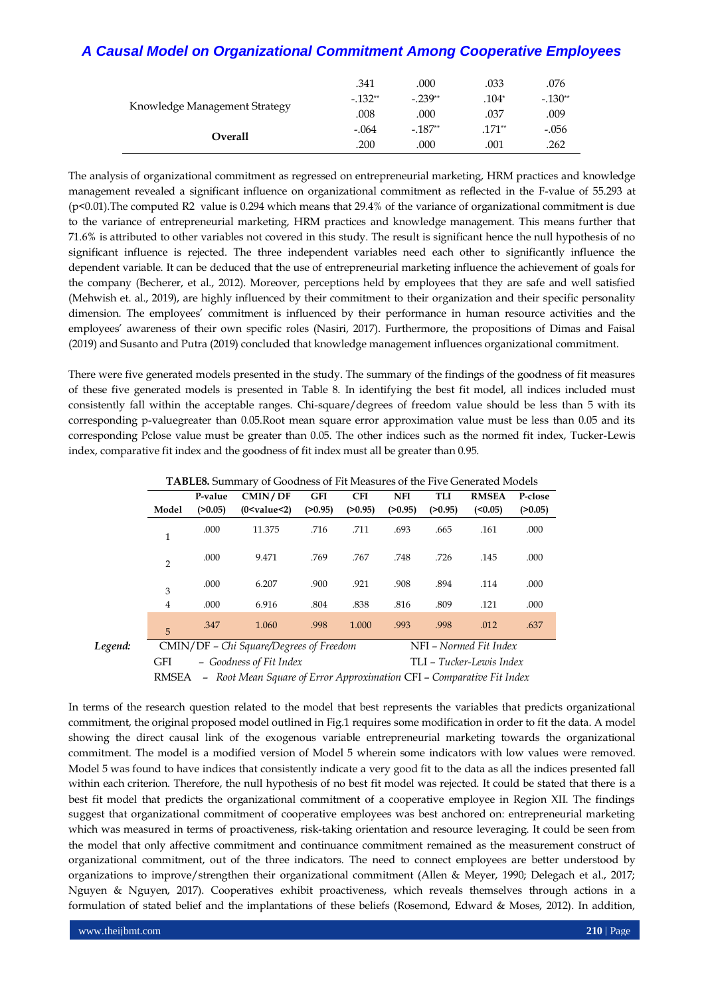|                               | .341       | .000       | .033    | .076       |
|-------------------------------|------------|------------|---------|------------|
| Knowledge Management Strategy | $-0.132**$ | $-0.239**$ | $.104*$ | $-0.130**$ |
|                               | .008       | .000       | .037    | .009       |
| Overall                       | $-.064$    | $-187**$   | .171**  | -.056      |
|                               | .200       | .000       | .001    | 262        |

The analysis of organizational commitment as regressed on entrepreneurial marketing, HRM practices and knowledge management revealed a significant influence on organizational commitment as reflected in the F-value of 55.293 at (p<0.01).The computed R2 value is 0.294 which means that 29.4% of the variance of organizational commitment is due to the variance of entrepreneurial marketing, HRM practices and knowledge management. This means further that 71.6% is attributed to other variables not covered in this study. The result is significant hence the null hypothesis of no significant influence is rejected. The three independent variables need each other to significantly influence the dependent variable. It can be deduced that the use of entrepreneurial marketing influence the achievement of goals for the company (Becherer, et al., 2012). Moreover, perceptions held by employees that they are safe and well satisfied (Mehwish et. al., 2019), are highly influenced by their commitment to their organization and their specific personality dimension. The employees' commitment is influenced by their performance in human resource activities and the employees' awareness of their own specific roles (Nasiri, 2017). Furthermore, the propositions of Dimas and Faisal (2019) and Susanto and Putra (2019) concluded that knowledge management influences organizational commitment.

There were five generated models presented in the study. The summary of the findings of the goodness of fit measures of these five generated models is presented in Table 8. In identifying the best fit model, all indices included must consistently fall within the acceptable ranges. Chi-square/degrees of freedom value should be less than 5 with its corresponding p-valuegreater than 0.05.Root mean square error approximation value must be less than 0.05 and its corresponding Pclose value must be greater than 0.05. The other indices such as the normed fit index, Tucker-Lewis index, comparative fit index and the goodness of fit index must all be greater than 0.95.

|         |                                         | <b>TADLES.</b> Summary of Goodness of Fit iviessures of the Frve Generated Models |                         |            |            |                        |         |                          |         |
|---------|-----------------------------------------|-----------------------------------------------------------------------------------|-------------------------|------------|------------|------------------------|---------|--------------------------|---------|
|         |                                         | P-value                                                                           | CMIN/DF                 | <b>GFI</b> | <b>CFI</b> | <b>NFI</b>             | TLI     | <b>RMSEA</b>             | P-close |
|         | Model                                   | (>0.05)                                                                           | (0 < value < 2)         | (>0.95)    | (>0.95)    | (>0.95)                | (>0.95) | $(0.05)$                 | (20.05) |
|         | 1                                       | .000                                                                              | 11.375                  | .716       | .711       | .693                   | .665    | .161                     | .000    |
|         | $\overline{2}$                          | .000                                                                              | 9.471                   | .769       | .767       | .748                   | .726    | .145                     | .000    |
|         | 3                                       | .000                                                                              | 6.207                   | .900       | .921       | .908                   | .894    | .114                     | .000    |
|         | 4                                       | .000                                                                              | 6.916                   | .804       | .838       | .816                   | .809    | .121                     | .000    |
|         | 5                                       | .347                                                                              | 1.060                   | .998       | 1.000      | .993                   | .998    | .012                     | .637    |
| Legend: | CMIN/DF - Chi Square/Degrees of Freedom |                                                                                   |                         |            |            | NFI – Normed Fit Index |         |                          |         |
|         | GFI                                     |                                                                                   | - Goodness of Fit Index |            |            |                        |         | TLI - Tucker-Lewis Index |         |

**TABLE8.** Summary of Goodness of Fit Measures of the Five Generated Models

RMSEA – *Root Mean Square of Error Approximation* CFI – *Comparative Fit Index*

In terms of the research question related to the model that best represents the variables that predicts organizational commitment, the original proposed model outlined in Fig.1 requires some modification in order to fit the data. A model showing the direct causal link of the exogenous variable entrepreneurial marketing towards the organizational commitment. The model is a modified version of Model 5 wherein some indicators with low values were removed. Model 5 was found to have indices that consistently indicate a very good fit to the data as all the indices presented fall within each criterion. Therefore, the null hypothesis of no best fit model was rejected. It could be stated that there is a best fit model that predicts the organizational commitment of a cooperative employee in Region XII. The findings suggest that organizational commitment of cooperative employees was best anchored on: entrepreneurial marketing which was measured in terms of proactiveness, risk-taking orientation and resource leveraging. It could be seen from the model that only affective commitment and continuance commitment remained as the measurement construct of organizational commitment, out of the three indicators. The need to connect employees are better understood by organizations to improve/strengthen their organizational commitment (Allen & Meyer, 1990; Delegach et al., 2017; Nguyen & Nguyen, 2017). Cooperatives exhibit proactiveness, which reveals themselves through actions in a formulation of stated belief and the implantations of these beliefs (Rosemond, Edward & Moses, 2012). In addition,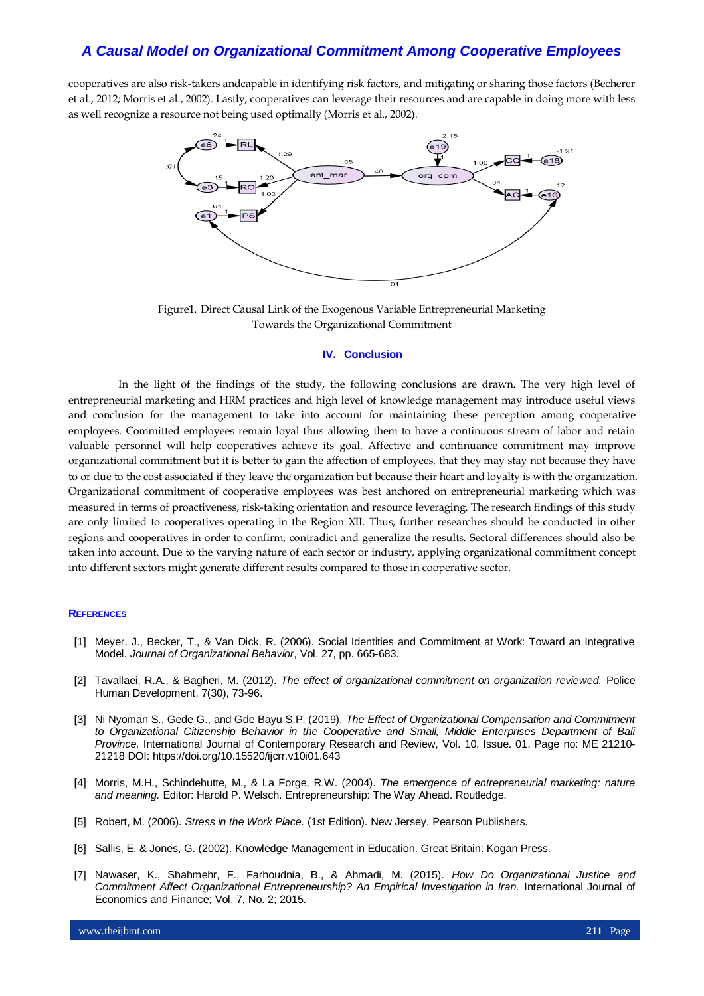cooperatives are also risk-takers andcapable in identifying risk factors, and mitigating or sharing those factors (Becherer et al., 2012; Morris et al., 2002). Lastly, cooperatives can leverage their resources and are capable in doing more with less as well recognize a resource not being used optimally (Morris et al., 2002).



Figure1. Direct Causal Link of the Exogenous Variable Entrepreneurial Marketing Towards the Organizational Commitment

#### **IV. Conclusion**

In the light of the findings of the study, the following conclusions are drawn. The very high level of entrepreneurial marketing and HRM practices and high level of knowledge management may introduce useful views and conclusion for the management to take into account for maintaining these perception among cooperative employees. Committed employees remain loyal thus allowing them to have a continuous stream of labor and retain valuable personnel will help cooperatives achieve its goal. Affective and continuance commitment may improve organizational commitment but it is better to gain the affection of employees, that they may stay not because they have to or due to the cost associated if they leave the organization but because their heart and loyalty is with the organization. Organizational commitment of cooperative employees was best anchored on entrepreneurial marketing which was measured in terms of proactiveness, risk-taking orientation and resource leveraging. The research findings of this study are only limited to cooperatives operating in the Region XII. Thus, further researches should be conducted in other regions and cooperatives in order to confirm, contradict and generalize the results. Sectoral differences should also be taken into account. Due to the varying nature of each sector or industry, applying organizational commitment concept into different sectors might generate different results compared to those in cooperative sector.

#### **REFERENCES**

- [1] Meyer, J., Becker, T., & Van Dick, R. (2006). Social Identities and Commitment at Work: Toward an Integrative Model. *Journal of Organizational Behavior*, Vol. 27, pp. 665-683.
- [2] Tavallaei, R.A., & Bagheri, M. (2012). *The effect of organizational commitment on organization reviewed.* Police Human Development, 7(30), 73-96.
- [3] Ni Nyoman S., Gede G., and Gde Bayu S.P. (2019). *The Effect of Organizational Compensation and Commitment to Organizational Citizenship Behavior in the Cooperative and Small, Middle Enterprises Department of Bali Province.* International Journal of Contemporary Research and Review, Vol. 10, Issue. 01, Page no: ME 21210- 21218 DOI[: https://doi.org/10.15520/ijcrr.v10i01.643](https://doi.org/10.15520/ijcrr.v10i01.643)
- [4] Morris, M.H., Schindehutte, M., & La Forge, R.W. (2004). *The emergence of entrepreneurial marketing: nature and meaning.* Editor: Harold P. Welsch. Entrepreneurship: The Way Ahead. Routledge.
- [5] Robert, M. (2006). *Stress in the Work Place.* (1st Edition). New Jersey. Pearson Publishers.
- [6] Sallis, E. & Jones, G. (2002). Knowledge Management in Education. Great Britain: Kogan Press.
- [7] Nawaser, K., Shahmehr, F., Farhoudnia, B., & Ahmadi, M. (2015). *How Do Organizational Justice and Commitment Affect Organizational Entrepreneurship? An Empirical Investigation in Iran.* International Journal of Economics and Finance; Vol. 7, No. 2; 2015.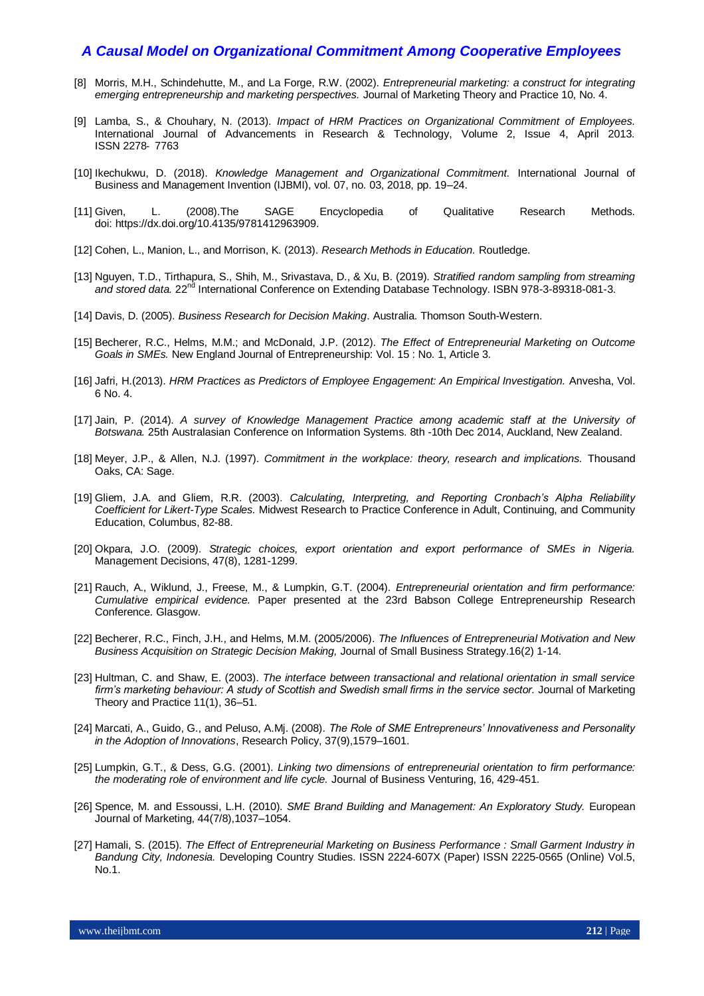- [8] Morris, M.H., Schindehutte, M., and La Forge, R.W. (2002). *Entrepreneurial marketing: a construct for integrating emerging entrepreneurship and marketing perspectives.* Journal of Marketing Theory and Practice 10, No. 4.
- [9] Lamba, S., & Chouhary, N. (2013). *Impact of HRM Practices on Organizational Commitment of Employees.*  International Journal of Advancements in Research & Technology, Volume 2, Issue 4, April 2013. ISSN 2278‐ 7763
- [10] Ikechukwu, D. (2018). *Knowledge Management and Organizational Commitment.* International Journal of Business and Management Invention (IJBMI), vol. 07, no. 03, 2018, pp. 19–24.
- [11] Given, L. (2008).The SAGE Encyclopedia of Qualitative Research Methods. doi: [https://dx.doi.org/10.4135/9781412963909.](https://dx.doi.org/10.4135/9781412963909)
- [12] Cohen, L., Manion, L., and Morrison, K. (2013). *Research Methods in Education.* Routledge.
- [13] Nguyen, T.D., Tirthapura, S., Shih, M., Srivastava, D., & Xu, B. (2019). *Stratified random sampling from streaming*  and stored data. 22<sup>nd</sup> International Conference on Extending Database Technology. ISBN 978-3-89318-081-3.
- [14] Davis, D. (2005). *Business Research for Decision Making*. Australia. Thomson South-Western.
- [15] Becherer, R.C., Helms, M.M.; and McDonald, J.P. (2012). *The Effect of Entrepreneurial Marketing on Outcome Goals in SMEs.* New England Journal of Entrepreneurship: Vol. 15 : No. 1, Article 3.
- [16] Jafri, H.(2013). *HRM Practices as Predictors of Employee Engagement: An Empirical Investigation.* Anvesha, Vol. 6 No. 4.
- [17] Jain, P. (2014). *A survey of Knowledge Management Practice among academic staff at the University of Botswana.* 25th Australasian Conference on Information Systems. 8th -10th Dec 2014, Auckland, New Zealand.
- [18] Meyer, J.P., & Allen, N.J. (1997). *Commitment in the workplace: theory, research and implications.* Thousand Oaks, CA: Sage.
- [19] Gliem, J.A. and Gliem, R.R. (2003). *Calculating, Interpreting, and Reporting Cronbach's Alpha Reliability Coefficient for Likert-Type Scales.* Midwest Research to Practice Conference in Adult, Continuing, and Community Education, Columbus, 82-88.
- [20] Okpara, J.O. (2009). *Strategic choices, export orientation and export performance of SMEs in Nigeria.* Management Decisions, 47(8), 1281-1299.
- [21] Rauch, A., Wiklund, J., Freese, M., & Lumpkin, G.T. (2004). *Entrepreneurial orientation and firm performance: Cumulative empirical evidence.* Paper presented at the 23rd Babson College Entrepreneurship Research Conference. Glasgow.
- [22] Becherer, R.C., Finch, J.H., and Helms, M.M. (2005/2006). *The Influences of Entrepreneurial Motivation and New Business Acquisition on Strategic Decision Making,* Journal of Small Business Strategy.16(2) 1-14.
- [23] Hultman, C. and Shaw, E. (2003). *The interface between transactional and relational orientation in small service*  firm's marketing behaviour: A study of Scottish and Swedish small firms in the service sector. Journal of Marketing Theory and Practice 11(1), 36–51.
- [24] Marcati, A., Guido, G., and Peluso, A.Mj. (2008). *The Role of SME Entrepreneurs' Innovativeness and Personality in the Adoption of Innovations*, Research Policy, 37(9),1579–1601.
- [25] Lumpkin, G.T., & Dess, G.G. (2001). *Linking two dimensions of entrepreneurial orientation to firm performance: the moderating role of environment and life cycle.* Journal of Business Venturing, 16, 429-451.
- [26] Spence, M. and Essoussi, L.H. (2010). *SME Brand Building and Management: An Exploratory Study.* European Journal of Marketing, 44(7/8),1037–1054.
- [27] Hamali, S. (2015). *The Effect of Entrepreneurial Marketing on Business Performance : Small Garment Industry in Bandung City, Indonesia.* Developing Country Studies. ISSN 2224-607X (Paper) ISSN 2225-0565 (Online) Vol.5, No.1.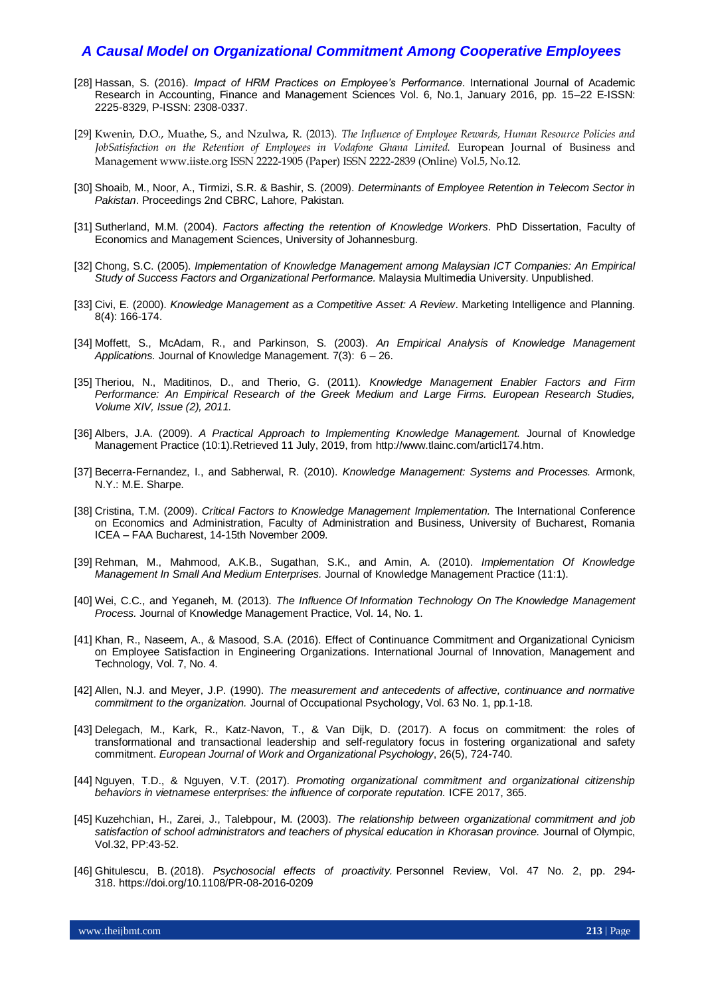- [28] Hassan, S. (2016). *Impact of HRM Practices on Employee's Performance*. International Journal of Academic Research in Accounting, Finance and Management Sciences Vol. 6, No.1, January 2016, pp. 15–22 E-ISSN: 2225-8329, P-ISSN: 2308-0337.
- [29] Kwenin, D.O., Muathe, S., and Nzulwa, R. (2013). *The Influence of Employee Rewards, Human Resource Policies and JobSatisfaction on the Retention of Employees in Vodafone Ghana Limited.* European Journal of Business and Management www.iiste.org ISSN 2222-1905 (Paper) ISSN 2222-2839 (Online) Vol.5, No.12.
- [30] Shoaib, M., Noor, A., Tirmizi, S.R. & Bashir, S. (2009). *Determinants of Employee Retention in Telecom Sector in Pakistan*. Proceedings 2nd CBRC, Lahore, Pakistan.
- [31] Sutherland, M.M. (2004). *Factors affecting the retention of Knowledge Workers*. PhD Dissertation, Faculty of Economics and Management Sciences, University of Johannesburg.
- [32] Chong, S.C. (2005). *Implementation of Knowledge Management among Malaysian ICT Companies: An Empirical Study of Success Factors and Organizational Performance.* Malaysia Multimedia University. Unpublished.
- [33] Civi, E. (2000). *Knowledge Management as a Competitive Asset: A Review*. Marketing Intelligence and Planning. 8(4): 166-174.
- [34] Moffett, S., McAdam, R., and Parkinson, S. (2003). *An Empirical Analysis of Knowledge Management Applications.* Journal of Knowledge Management. 7(3): 6 – 26.
- [35] Theriou, N., Maditinos, D., and Therio, G. (2011). *Knowledge Management Enabler Factors and Firm Performance: An Empirical Research of the Greek Medium and Large Firms. European Research Studies, Volume XIV, Issue (2), 2011.*
- [36] Albers, J.A. (2009). *A Practical Approach to Implementing Knowledge Management.* Journal of Knowledge Management Practice (10:1).Retrieved 11 July, 2019, from [http://www.tlainc.com/articl174.htm.](http://www.tlainc.com/articl174.htm)
- [37] Becerra-Fernandez, I., and Sabherwal, R. (2010). *Knowledge Management: Systems and Processes.* Armonk, N.Y.: M.E. Sharpe.
- [38] Cristina, T.M. (2009). *Critical Factors to Knowledge Management Implementation.* The International Conference on Economics and Administration, Faculty of Administration and Business, University of Bucharest, Romania ICEA – FAA Bucharest, 14-15th November 2009.
- [39] Rehman, M., Mahmood, A.K.B., Sugathan, S.K., and Amin, A. (2010). *Implementation Of Knowledge Management In Small And Medium Enterprises.* Journal of Knowledge Management Practice (11:1).
- [40] Wei, C.C., and Yeganeh, M. (2013). *The Influence Of Information Technology On The Knowledge Management Process.* Journal of Knowledge Management Practice, Vol. 14, No. 1.
- [41] Khan, R., Naseem, A., & Masood, S.A. (2016). Effect of Continuance Commitment and Organizational Cynicism on Employee Satisfaction in Engineering Organizations. International Journal of Innovation, Management and Technology, Vol. 7, No. 4.
- [42] Allen, N.J. and Meyer, J.P. (1990). *The measurement and antecedents of affective, continuance and normative commitment to the organization.* Journal of Occupational Psychology, Vol. 63 No. 1, pp.1-18.
- [43] Delegach, M., Kark, R., Katz-Navon, T., & Van Dijk, D. (2017). A focus on commitment: the roles of transformational and transactional leadership and self-regulatory focus in fostering organizational and safety commitment. *European Journal of Work and Organizational Psychology*, 26(5), 724-740.
- [44] Nguyen, T.D., & Nguyen, V.T. (2017). *Promoting organizational commitment and organizational citizenship behaviors in vietnamese enterprises: the influence of corporate reputation.* ICFE 2017, 365.
- [45] Kuzehchian, H., Zarei, J., Talebpour, M. (2003). *The relationship between organizational commitment and job satisfaction of school administrators and teachers of physical education in Khorasan province.* Journal of Olympic, Vol.32, PP:43-52.
- [46] Ghitulesc[u, B.](https://www.emerald.com/insight/search?q=Brenda%20E.%20Ghitulescu) (2018). *Psychosocial effects of proactivity.* [Personnel Review,](https://www.emerald.com/insight/publication/issn/0048-3486) Vol. 47 No. 2, pp. 294- 318. <https://doi.org/10.1108/PR-08-2016-0209>